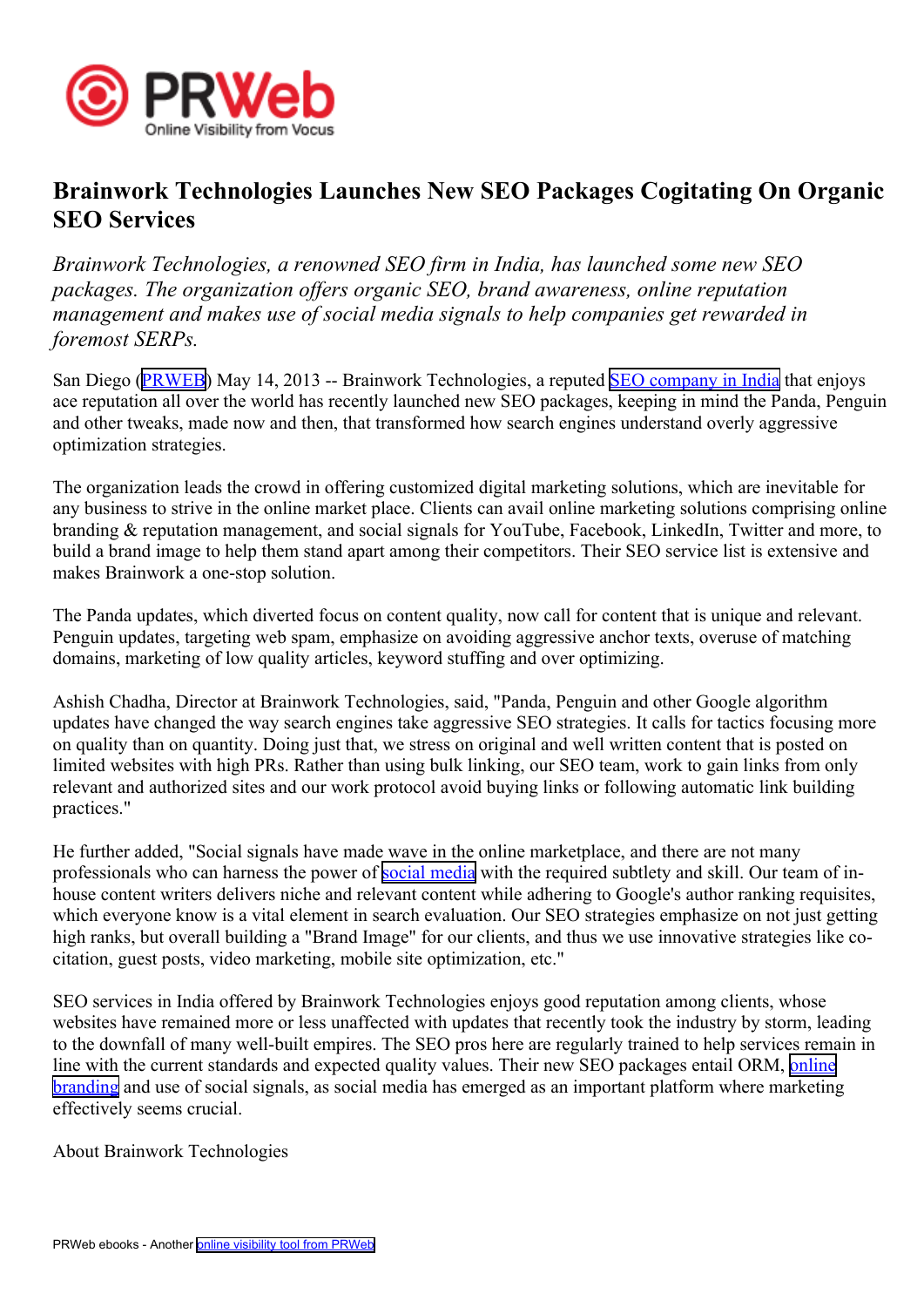

## **Brainwork Technologies Launches New SEO Packages Cogitating On Organic SEO Services**

*Brainwork Technologies, <sup>a</sup> renowned SEO firm in India, has launched some new SEO packages. The organization offers organic SEO, brand awareness, online reputation managemen<sup>t</sup> and makes use of social media signals to help companies ge<sup>t</sup> rewarded in foremost SERPs.*

San Diego [\(PRWEB\)](http://www.prweb.com) May 14, 2013 -- Brainwork Technologies, a reputed SEO [company](http://www.brainworkindia.net/seo-services-company.html) in India that enjoys ace reputation all over the world has recently launched new SEO packages, keeping in mind the Panda, Penguin and other tweaks, made now and then, that transformed how search engines understand overly aggressive optimization strategies.

The organization leads the crowd in offering customized digital marketing solutions, which are inevitable for any business to strive in the online market place. Clients can avail online marketing solutions comprising online branding & reputation management, and social signals for YouTube, Facebook, LinkedIn, Twitter and more, to build <sup>a</sup> brand image to help them stand apar<sup>t</sup> among their competitors. Their SEO service list is extensive and makes Brainwork <sup>a</sup> one-stop solution.

The Panda updates, which diverted focus on content quality, now call for content that is unique and relevant. Penguin updates, targeting web spam, emphasize on avoiding aggressive anchor texts, overuse of matching domains, marketing of low quality articles, keyword stuffing and over optimizing.

Ashish Chadha, Director at Brainwork Technologies, said, "Panda, Penguin and other Google algorithm updates have changed the way search engines take aggressive SEO strategies. It calls for tactics focusing more on quality than on quantity. Doing just that, we stress on original and well written content that is posted on limited websites with high PRs. Rather than using bulk linking, our SEO team, work to gain links from only relevant and authorized sites and our work protocol avoid buying links or following automatic link building practices."

He further added, "Social signals have made wave in the online marketplace, and there are not many professionals who can harness the power of social [media](http://www.brainworkindia.net/social-media-optimization.html) with the required subtlety and skill. Our team of inhouse content writers delivers niche and relevant content while adhering to Google's author ranking requisites, which everyone know is <sup>a</sup> vital element in search evaluation. Our SEO strategies emphasize on not just getting high ranks, but overall building <sup>a</sup> "Brand Image" for our clients, and thus we use innovative strategies like cocitation, gues<sup>t</sup> posts, video marketing, mobile site optimization, etc."

SEO services in India offered by Brainwork Technologies enjoys good reputation among clients, whose websites have remained more or less unaffected with updates that recently took the industry by storm, leading to the downfall of many well-built empires. The SEO pros here are regularly trained to help services remain in line with the current standards and expected quality values. Their new SEO packages entail ORM, [online](http://www.brainworkindia.net/reputation-management.html) [branding](http://www.brainworkindia.net/reputation-management.html) and use of social signals, as social media has emerged as an important platform where marketing effectively seems crucial.

About Brainwork Technologies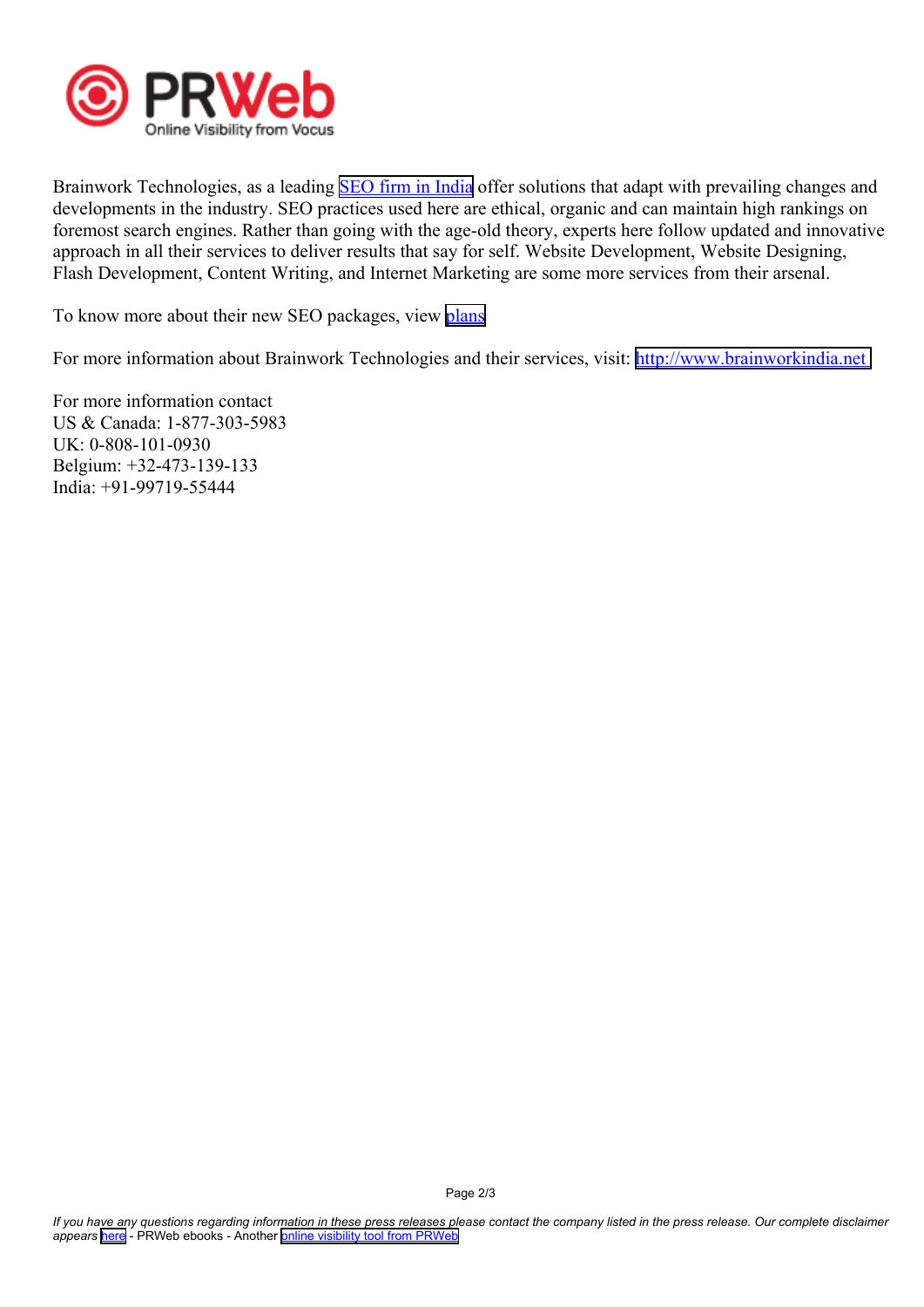

Brainwork Technologies, as a leading **SEO** firm in [India](http://www.brainworkindia.net/internet-marketing-india.html) offer solutions that adapt with prevailing changes and developments in the industry. SEO practices used here are ethical, organic and can maintain high rankings on foremost search engines. Rather than going with the age-old theory, experts here follow updated and innovative approach in all their services to deliver results that say for self. Website Development, Website Designing, Flash Development, Content Writing, and Internet Marketing are some more services from their arsenal.

To know more about their new SEO packages, view p[lans](http://www.brainworkindia.net/seo-plans.html)

For more information about Brainwork Technologies and their services, visit: <http://www.brainworkindia.net>

For more information contact US & Canada: 1-877-303-5983 UK: 0-808-101-0930 Belgium: +32-473-139-133 India: +91-99719-55444